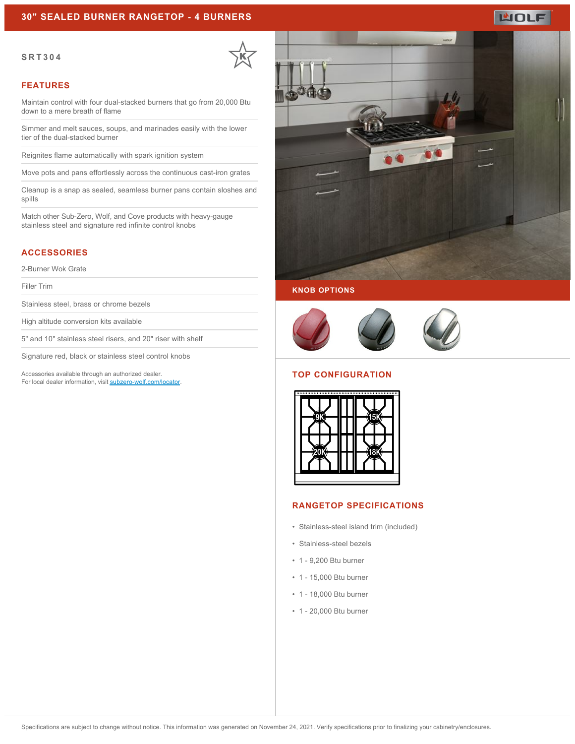## **30" SEALED BURNER RANGETOP - 4 BURNERS**

#### **SRT304**



#### **FEATURES**

Maintain control with four dual-stacked burners that go from 20,000 Btu down to a mere breath of flame

Simmer and melt sauces, soups, and marinades easily with the lower tier of the dual-stacked burner

Reignites flame automatically with spark ignition system

Move pots and pans effortlessly across the continuous cast-iron grates

Cleanup is a snap as sealed, seamless burner pans contain sloshes and spills

Match other Sub-Zero, Wolf, and Cove products with heavy-gauge stainless steel and signature red infinite control knobs

### **ACCESSORIES**

2-Burner Wok Grate

Filler Trim

Stainless steel, brass or chrome bezels

High altitude conversion kits available

5" and 10" stainless steel risers, and 20" riser with shelf

Signature red, black or stainless steel control knobs

Accessories available through an authorized dealer. For local dealer information, visit [subzero-wolf.com/locator.](http://www.subzero-wolf.com/locator)



**WOLF** 





#### **TOP CONFIGURATION**



### **RANGETOP SPECIFICATIONS**

- Stainless-steel island trim (included)
- Stainless-steel bezels
- 1 9,200 Btu burner
- 1 15,000 Btu burner
- 1 18,000 Btu burner
- 1 20,000 Btu burner